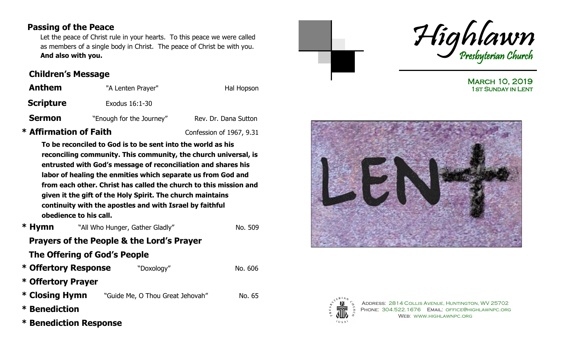## **Passing of the Peace**

 Let the peace of Christ rule in your hearts. To this peace we were called as members of a single body in Christ. The peace of Christ be with you. **And also with you.**

## **Children's Message**

| <b>Anthem</b>    | "A Lenten Prayer"        | Hal Hopson           |
|------------------|--------------------------|----------------------|
| <b>Scripture</b> | Exodus 16:1-30           |                      |
| <b>Sermon</b>    | "Enough for the Journey" | Rev. Dr. Dana Sutton |

# **\* Affirmation of Faith** Confession of 1967, 9.31

**To be reconciled to God is to be sent into the world as his reconciling community. This community, the church universal, is entrusted with God's message of reconciliation and shares his labor of healing the enmities which separate us from God and from each other. Christ has called the church to this mission and given it the gift of the Holy Spirit. The church maintains continuity with the apostles and with Israel by faithful obedience to his call.** 

**\* Hymn** <sup>N</sup> No. 509

## **Prayers of the People & the Lord's Prayer**

## **The Offering of God's People**

| * Offertory Response | "Doxology"                       | No. 606 |
|----------------------|----------------------------------|---------|
| * Offertory Prayer   |                                  |         |
| * Closing Hymn       | "Guide Me, O Thou Great Jehovah" | No. 65  |
| * Benediction        |                                  |         |

**\* Benediction Response** 



March 10, 2019 1st Sunday in Lent





Address: 2814 Collis Avenue, Huntington, WV 25702 PHONE: 304.522.1676 EMAIL: OFFICE@HIGHLAWNPC.ORG Web: www.highlawnpc.org